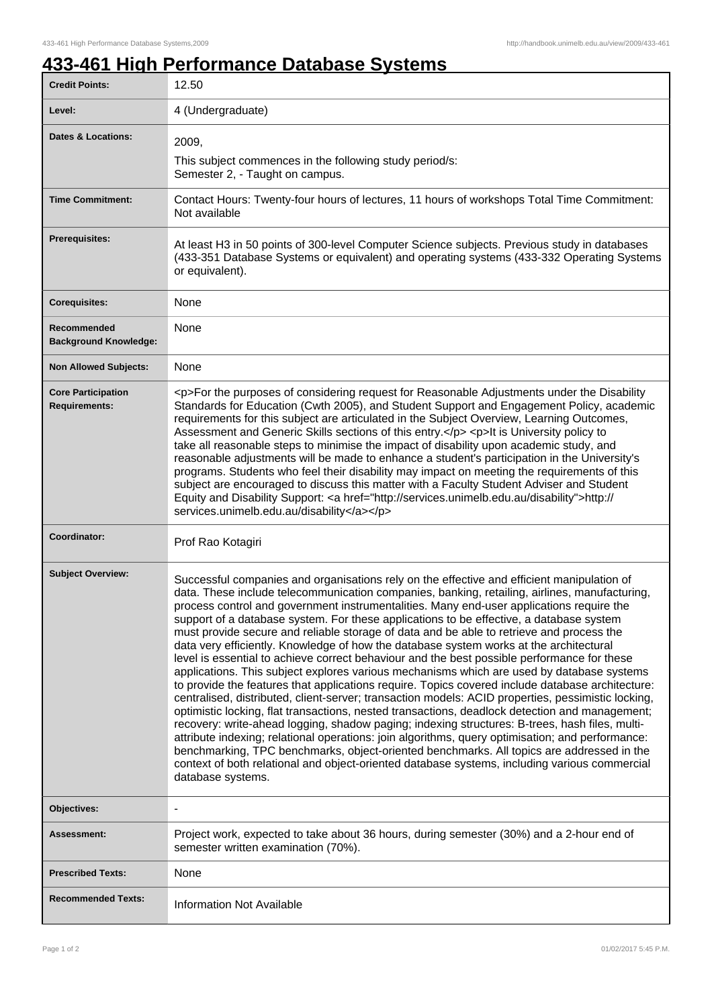٦

## **433-461 High Performance Database Systems**

| <b>Credit Points:</b>                             | 12.50                                                                                                                                                                                                                                                                                                                                                                                                                                                                                                                                                                                                                                                                                                                                                                                                                                                                                                                                                                                                                                                                                                                                                                                                                                                                                                                                                                                                                                                                                                     |
|---------------------------------------------------|-----------------------------------------------------------------------------------------------------------------------------------------------------------------------------------------------------------------------------------------------------------------------------------------------------------------------------------------------------------------------------------------------------------------------------------------------------------------------------------------------------------------------------------------------------------------------------------------------------------------------------------------------------------------------------------------------------------------------------------------------------------------------------------------------------------------------------------------------------------------------------------------------------------------------------------------------------------------------------------------------------------------------------------------------------------------------------------------------------------------------------------------------------------------------------------------------------------------------------------------------------------------------------------------------------------------------------------------------------------------------------------------------------------------------------------------------------------------------------------------------------------|
| Level:                                            | 4 (Undergraduate)                                                                                                                                                                                                                                                                                                                                                                                                                                                                                                                                                                                                                                                                                                                                                                                                                                                                                                                                                                                                                                                                                                                                                                                                                                                                                                                                                                                                                                                                                         |
| <b>Dates &amp; Locations:</b>                     | 2009,<br>This subject commences in the following study period/s:                                                                                                                                                                                                                                                                                                                                                                                                                                                                                                                                                                                                                                                                                                                                                                                                                                                                                                                                                                                                                                                                                                                                                                                                                                                                                                                                                                                                                                          |
|                                                   | Semester 2, - Taught on campus.                                                                                                                                                                                                                                                                                                                                                                                                                                                                                                                                                                                                                                                                                                                                                                                                                                                                                                                                                                                                                                                                                                                                                                                                                                                                                                                                                                                                                                                                           |
| <b>Time Commitment:</b>                           | Contact Hours: Twenty-four hours of lectures, 11 hours of workshops Total Time Commitment:<br>Not available                                                                                                                                                                                                                                                                                                                                                                                                                                                                                                                                                                                                                                                                                                                                                                                                                                                                                                                                                                                                                                                                                                                                                                                                                                                                                                                                                                                               |
| <b>Prerequisites:</b>                             | At least H3 in 50 points of 300-level Computer Science subjects. Previous study in databases<br>(433-351 Database Systems or equivalent) and operating systems (433-332 Operating Systems<br>or equivalent).                                                                                                                                                                                                                                                                                                                                                                                                                                                                                                                                                                                                                                                                                                                                                                                                                                                                                                                                                                                                                                                                                                                                                                                                                                                                                              |
| <b>Corequisites:</b>                              | None                                                                                                                                                                                                                                                                                                                                                                                                                                                                                                                                                                                                                                                                                                                                                                                                                                                                                                                                                                                                                                                                                                                                                                                                                                                                                                                                                                                                                                                                                                      |
| Recommended<br><b>Background Knowledge:</b>       | None                                                                                                                                                                                                                                                                                                                                                                                                                                                                                                                                                                                                                                                                                                                                                                                                                                                                                                                                                                                                                                                                                                                                                                                                                                                                                                                                                                                                                                                                                                      |
| <b>Non Allowed Subjects:</b>                      | None                                                                                                                                                                                                                                                                                                                                                                                                                                                                                                                                                                                                                                                                                                                                                                                                                                                                                                                                                                                                                                                                                                                                                                                                                                                                                                                                                                                                                                                                                                      |
| <b>Core Participation</b><br><b>Requirements:</b> | <p>For the purposes of considering request for Reasonable Adjustments under the Disability<br/>Standards for Education (Cwth 2005), and Student Support and Engagement Policy, academic<br/>requirements for this subject are articulated in the Subject Overview, Learning Outcomes,<br/>Assessment and Generic Skills sections of this entry.</p> <p>lt is University policy to<br/>take all reasonable steps to minimise the impact of disability upon academic study, and<br/>reasonable adjustments will be made to enhance a student's participation in the University's<br/>programs. Students who feel their disability may impact on meeting the requirements of this<br/>subject are encouraged to discuss this matter with a Faculty Student Adviser and Student<br/>Equity and Disability Support: &lt; a href="http://services.unimelb.edu.au/disability"&gt;http://<br/>services.unimelb.edu.au/disability</p>                                                                                                                                                                                                                                                                                                                                                                                                                                                                                                                                                                              |
| Coordinator:                                      | Prof Rao Kotagiri                                                                                                                                                                                                                                                                                                                                                                                                                                                                                                                                                                                                                                                                                                                                                                                                                                                                                                                                                                                                                                                                                                                                                                                                                                                                                                                                                                                                                                                                                         |
| <b>Subject Overview:</b>                          | Successful companies and organisations rely on the effective and efficient manipulation of<br>data. These include telecommunication companies, banking, retailing, airlines, manufacturing,<br>process control and government instrumentalities. Many end-user applications require the<br>support of a database system. For these applications to be effective, a database system<br>must provide secure and reliable storage of data and be able to retrieve and process the<br>data very efficiently. Knowledge of how the database system works at the architectural<br>level is essential to achieve correct behaviour and the best possible performance for these<br>applications. This subject explores various mechanisms which are used by database systems<br>to provide the features that applications require. Topics covered include database architecture:<br>centralised, distributed, client-server; transaction models: ACID properties, pessimistic locking,<br>optimistic locking, flat transactions, nested transactions, deadlock detection and management;<br>recovery: write-ahead logging, shadow paging; indexing structures: B-trees, hash files, multi-<br>attribute indexing; relational operations: join algorithms, query optimisation; and performance:<br>benchmarking, TPC benchmarks, object-oriented benchmarks. All topics are addressed in the<br>context of both relational and object-oriented database systems, including various commercial<br>database systems. |
| Objectives:                                       | $\overline{\phantom{a}}$                                                                                                                                                                                                                                                                                                                                                                                                                                                                                                                                                                                                                                                                                                                                                                                                                                                                                                                                                                                                                                                                                                                                                                                                                                                                                                                                                                                                                                                                                  |
| <b>Assessment:</b>                                | Project work, expected to take about 36 hours, during semester (30%) and a 2-hour end of<br>semester written examination (70%).                                                                                                                                                                                                                                                                                                                                                                                                                                                                                                                                                                                                                                                                                                                                                                                                                                                                                                                                                                                                                                                                                                                                                                                                                                                                                                                                                                           |
| <b>Prescribed Texts:</b>                          | None                                                                                                                                                                                                                                                                                                                                                                                                                                                                                                                                                                                                                                                                                                                                                                                                                                                                                                                                                                                                                                                                                                                                                                                                                                                                                                                                                                                                                                                                                                      |
| <b>Recommended Texts:</b>                         | <b>Information Not Available</b>                                                                                                                                                                                                                                                                                                                                                                                                                                                                                                                                                                                                                                                                                                                                                                                                                                                                                                                                                                                                                                                                                                                                                                                                                                                                                                                                                                                                                                                                          |